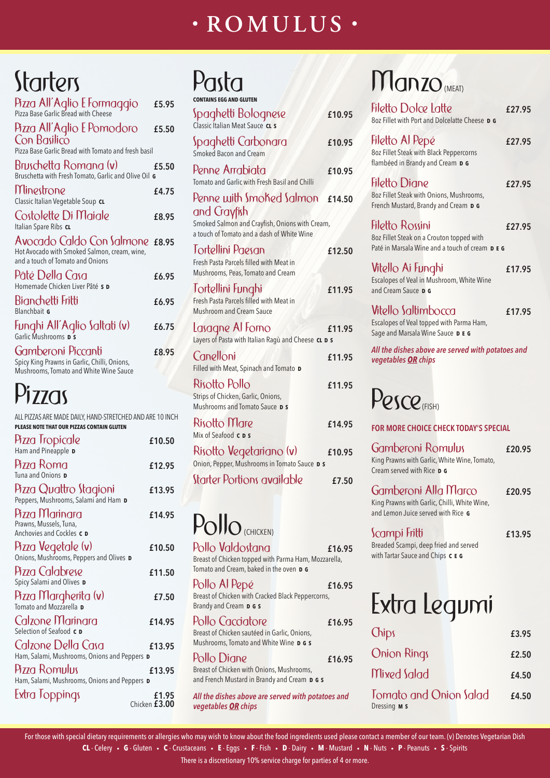### **• ROMULUS •**

## **Starters**

| Pizza All'Aglio E Formaggio                                                                                         | £5.95 |
|---------------------------------------------------------------------------------------------------------------------|-------|
| Pizza All'Aglio E Pomodoro<br>Con Basilico<br>Pizza Base Garlic Bread with Tomato and fresh basil                   | £5.50 |
| Bruschetta Romana (v)<br>Bruschetta with Fresh Tomato, Garlic and Olive Oil G                                       | £5.50 |
| Minestrone<br>Classic Italian Vegetable Soup CL                                                                     | £4.75 |
| Costolette Di Maiale<br>Italian Spare Ribs CL                                                                       | £8.95 |
| Avocado Caldo Con Salmone £8.95<br>Hot Avocado with Smoked Salmon, cream, wine,<br>and a touch of Tomato and Onions |       |
| Pâté Della Casa<br>Homemade Chicken Liver Pâté s D                                                                  | £6.95 |
| Bianchetti Fritti<br>Blanchbait G                                                                                   | £6.95 |
| Funghi All'Aglio Saltati (v)<br><sup>Garlic Mushrooms</sup> p s                                                     | £6.75 |
| Gamberoni Piccanti<br>Spicy King Prawns in Garlic, Chilli, Onions,<br>Mushrooms, Tomato and White Wine Sauce        | £8.95 |

| Pasta                                                                                                       |        |
|-------------------------------------------------------------------------------------------------------------|--------|
| ONTAINS EGG AND GLUTEN                                                                                      |        |
| Spaghetti Bolognese<br>Classic Italian Meat Sauce CL s                                                      | £10.95 |
| Spaghetti Carbonara<br><b>Smoked Bacon and Cream</b>                                                        | £10.95 |
| Penne Arrabiata<br>Tomato and Garlic with Fresh Basil and Chilli                                            | £10.95 |
| Penne with Smoked Salmon                                                                                    | £14.50 |
| and Gayfish<br>Smoked Salmon and Crayfish, Onions with Cream,<br>a touch of Tomato and a dash of White Wine |        |
| Tortellini Paesan                                                                                           | £12.50 |
| Fresh Pasta Parcels filled with Meat in<br>Mushrooms, Peas, Tomato and Cream                                |        |
| Tortellini Funghi                                                                                           | £11.95 |
| Fresh Pasta Parcels filled with Meat in<br><b>Mushroom and Cream Sauce</b>                                  |        |
| Lasagne Al Forno<br>Layers of Pasta with Italian Ragù and Cheese CL D S                                     | £11.95 |
| Canelloni<br>Filled with Meat, Spinach and Tomato D                                                         | £11.95 |
| Risotto Pollo                                                                                               | £11.95 |
| Strips of Chicken, Garlic, Onions,<br>Mushrooms and Tomato Sauce D S                                        |        |
| Risotto Mare<br>Mix of Seafood <b>c</b> D s                                                                 | £14.95 |
| Risotto Vegetariano (v)                                                                                     | £10.95 |
| Onion, Pepper, Mushrooms in Tomato Sauce D S                                                                |        |
| Starter Portions available                                                                                  | £7.50  |
|                                                                                                             |        |

### Pollo<sub>(CHICKEN)</sub>

| Filetto Dolce Latte<br>8oz Fillet with Port and Dolcelatte Cheese <b>p G</b>                           | £27.95                                                                                                      |  |  |  |
|--------------------------------------------------------------------------------------------------------|-------------------------------------------------------------------------------------------------------------|--|--|--|
| Filetto Al Pepé<br>8oz Fillet Steak with Black Peppercorns<br>flambéed in Brandy and Cream D G         | £27.95                                                                                                      |  |  |  |
| Filetto Diane<br>8oz Fillet Steak with Onions, Mushrooms,<br>French Mustard, Brandy and Cream D G      | £27.95                                                                                                      |  |  |  |
| Filetto Rossini<br>8oz Fillet Steak on a Crouton topped with                                           | £27.95                                                                                                      |  |  |  |
| Vitello Ai Funghi<br>Escalopes of Veal in Mushroom, White Wine<br>and Cream Sauce <b>p G</b>           | £17.95                                                                                                      |  |  |  |
| Vitello Saltimbocca<br>Escalopes of Veal topped with Parma Ham,<br>Sage and Marsala Wine Sauce DE G    | £17.95                                                                                                      |  |  |  |
| vegetables <b>OR</b> chips                                                                             |                                                                                                             |  |  |  |
| <b>PESCR</b>                                                                                           |                                                                                                             |  |  |  |
| <b>FOR MORE CHOICE CHECK TODAY'S SPECIAL</b>                                                           |                                                                                                             |  |  |  |
| <b>Gamberoni Romulus</b><br>King Prawns with Garlic, White Wine, Tomato,<br>Cream served with Rice D G | £20.95                                                                                                      |  |  |  |
|                                                                                                        | Paté in Marsala Wine and a touch of cream <b>D E G</b><br>All the dishes above are served with potatoes and |  |  |  |

For those with special dietary requirements or allergies who may wish to know about the food ingredients used please contact a member of our team. (v) Denotes Vegetarian Dish **CL** - Celery • **G** - Gluten • **C** - Crustaceans • **E** - Eggs • **F** - Fish • **D** - Dairy • **M** - Mustard • **N** - Nuts • **P** - Peanuts • **S** - Spirits

#### Gamberoni Alla Marco **£20.95**

King Prawns with Garlic, Chilli, White Wine, and Lemon Juice served with Rice **G**

#### Scampi Fritti **£13.95**

Breaded Scampi, deep fried and served with Tartar Sauce and Chips **C E G**

Pollo Valdostana **£16.95** Breast of Chicken topped with Parma Ham, Mozzarella, Tomato and Cream, baked in the oven **D G**

Pollo Al Pepé **£16.95**

### Manzo (MEAT)

### Pizzas

| Pizza Margherita (v)<br>Tomato and Mozzarella D<br>£7.50                |                        | 1.9101.41.482<br>- IV. / V<br>Breast of Chicken with Cracked Black Peppercorns,<br>Brandy and Cream <b>D G S</b> |        | Extra Lequmi                                         |       |
|-------------------------------------------------------------------------|------------------------|------------------------------------------------------------------------------------------------------------------|--------|------------------------------------------------------|-------|
| Calzone Marinara<br>Selection of Seafood c D                            | £14.95                 | Pollo Cacciatore<br>Breast of Chicken sautéed in Garlic, Onions,                                                 | £16.95 | Chips                                                | £3.95 |
| Calzone Della Casa<br>Ham, Salami, Mushrooms, Onions and Peppers D      | £13.95                 | Mushrooms, Tomato and White Wine D G S<br>Pollo Diane                                                            | £16.95 | <b>Onion Rings</b>                                   | £2.50 |
| Pizza Romulus<br>£13.95<br>Ham, Salami, Mushrooms, Onions and Peppers D |                        | Breast of Chicken with Onions, Mushrooms,<br>and French Mustard in Brandy and Cream D G S                        |        | Mixed Salad                                          | £4.50 |
| Extra Toppings                                                          | £1.95<br>Chicken £3.00 | All the dishes above are served with potatoes and<br>vegetables OR chips                                         |        | <b>Tomato and Onion Salad</b><br>Dressing <b>M S</b> | £4.50 |

ALL PIZZAS ARE MADE DAILY, HAND-STRETCHED AND ARE 10 INCH **PLEASE NOTE THAT OUR PIZZAS CONTAIN GLUTEN**

| Pizza Tropicale<br>Ham and Pineapple <b>D</b>                         | £10.50 |
|-----------------------------------------------------------------------|--------|
| <b>Pizza Roma</b><br>Tuna and Onions D                                | £12.95 |
| Pizza Quattro Stagioni<br>Peppers, Mushrooms, Salami and Ham D        | £13.95 |
| Pizza Marinara<br>Prawns, Mussels, Tuna,<br>Anchovies and Cockles c D | £14.95 |
| Pizza Vegetale (v)<br>Onions, Mushrooms, Peppers and Olives D         | £10.50 |
| Pizza Calabrese<br>Spicy Salami and Olives D                          | £11.50 |

There is a discretionary 10% service charge for parties of 4 or more.